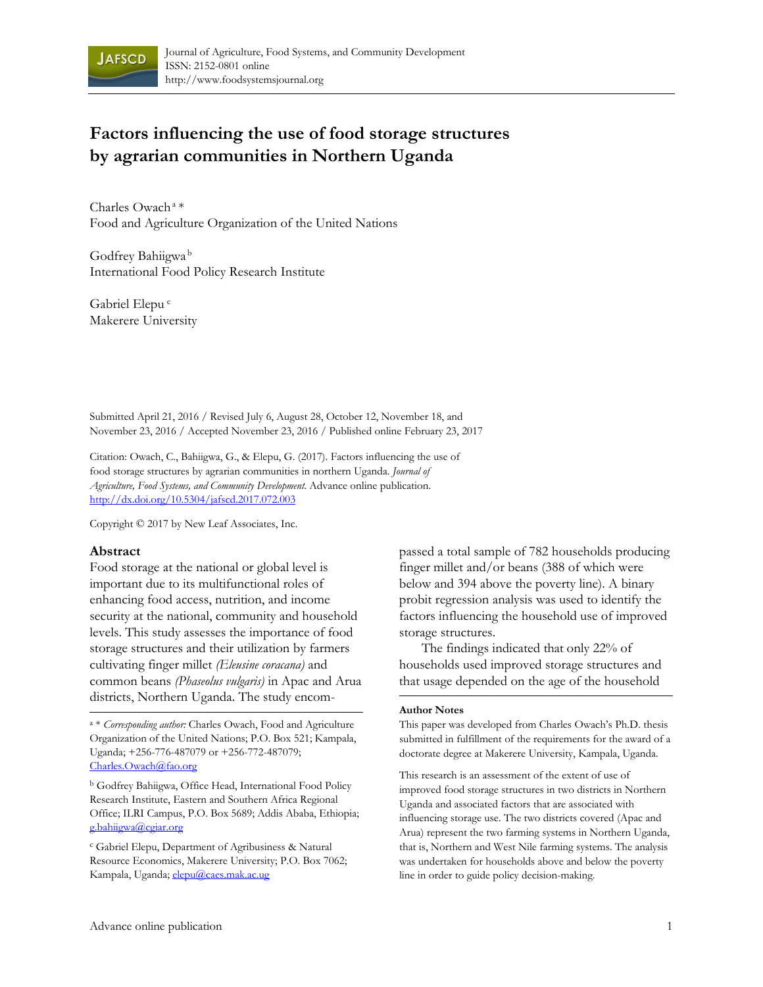

# **Factors influencing the use of food storage structures by agrarian communities in Northern Uganda**

Charles Owach a \* Food and Agriculture Organization of the United Nations

Godfrey Bahiigwa b International Food Policy Research Institute

Gabriel Elepu<sup>c</sup> Makerere University

Submitted April 21, 2016 / Revised July 6, August 28, October 12, November 18, and November 23, 2016 / Accepted November 23, 2016 / Published online February 23, 2017

Citation: Owach, C., Bahiigwa, G., & Elepu, G. (2017). Factors influencing the use of food storage structures by agrarian communities in northern Uganda. *Journal of Agriculture, Food Systems, and Community Development.* Advance online publication. http://dx.doi.org/10.5304/jafscd.2017.072.003

Copyright © 2017 by New Leaf Associates, Inc.

#### **Abstract**

Food storage at the national or global level is important due to its multifunctional roles of enhancing food access, nutrition, and income security at the national, community and household levels. This study assesses the importance of food storage structures and their utilization by farmers cultivating finger millet *(Eleusine coracana)* and common beans *(Phaseolus vulgaris)* in Apac and Arua districts, Northern Uganda. The study encom-

b Godfrey Bahiigwa, Office Head, International Food Policy Research Institute, Eastern and Southern Africa Regional Office; ILRI Campus, P.O. Box 5689; Addis Ababa, Ethiopia; g.bahiigwa@cgiar.org

c Gabriel Elepu, Department of Agribusiness & Natural Resource Economics, Makerere University; P.O. Box 7062; Kampala, Uganda; elepu@caes.mak.ac.ug

passed a total sample of 782 households producing finger millet and/or beans (388 of which were below and 394 above the poverty line). A binary probit regression analysis was used to identify the factors influencing the household use of improved storage structures.

 The findings indicated that only 22% of households used improved storage structures and that usage depended on the age of the household

#### **Author Notes**

This paper was developed from Charles Owach's Ph.D. thesis submitted in fulfillment of the requirements for the award of a doctorate degree at Makerere University, Kampala, Uganda.

This research is an assessment of the extent of use of improved food storage structures in two districts in Northern Uganda and associated factors that are associated with influencing storage use. The two districts covered (Apac and Arua) represent the two farming systems in Northern Uganda, that is, Northern and West Nile farming systems. The analysis was undertaken for households above and below the poverty line in order to guide policy decision-making.

a \* *Corresponding author:* Charles Owach, Food and Agriculture Organization of the United Nations; P.O. Box 521; Kampala, Uganda; +256-776-487079 or +256-772-487079; Charles.Owach@fao.org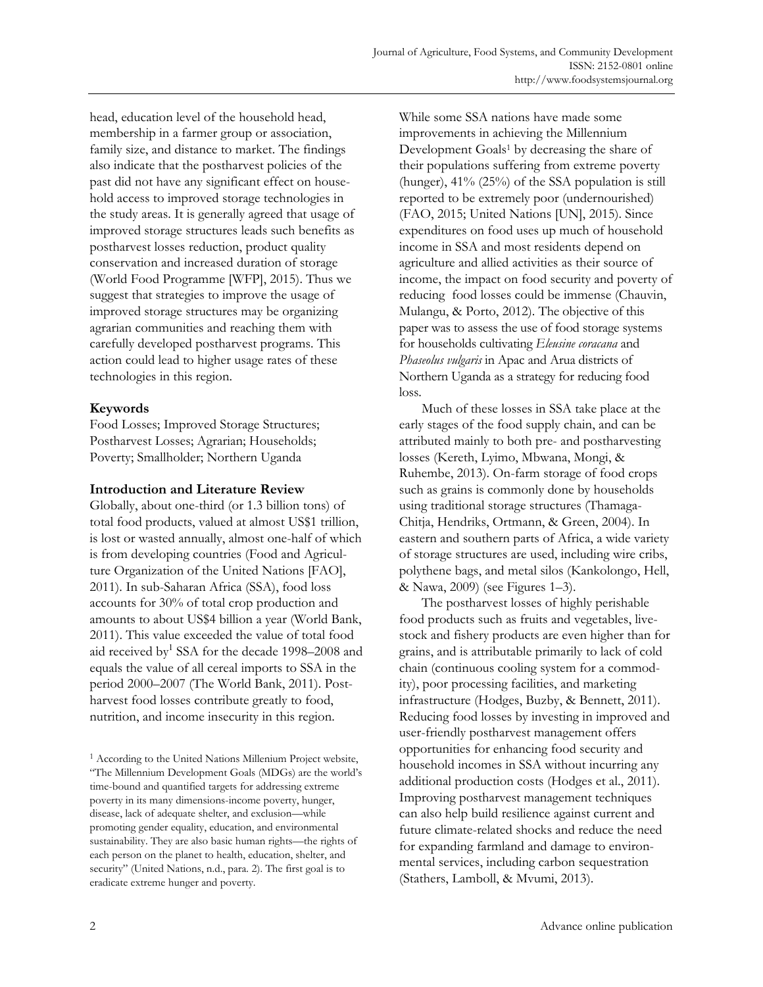head, education level of the household head, membership in a farmer group or association, family size, and distance to market. The findings also indicate that the postharvest policies of the past did not have any significant effect on household access to improved storage technologies in the study areas. It is generally agreed that usage of improved storage structures leads such benefits as postharvest losses reduction, product quality conservation and increased duration of storage (World Food Programme [WFP], 2015). Thus we suggest that strategies to improve the usage of improved storage structures may be organizing agrarian communities and reaching them with carefully developed postharvest programs. This action could lead to higher usage rates of these technologies in this region.

## **Keywords**

Food Losses; Improved Storage Structures; Postharvest Losses; Agrarian; Households; Poverty; Smallholder; Northern Uganda

## **Introduction and Literature Review**

Globally, about one-third (or 1.3 billion tons) of total food products, valued at almost US\$1 trillion, is lost or wasted annually, almost one-half of which is from developing countries (Food and Agriculture Organization of the United Nations [FAO], 2011). In sub-Saharan Africa (SSA), food loss accounts for 30% of total crop production and amounts to about US\$4 billion a year (World Bank, 2011). This value exceeded the value of total food aid received by<sup>1</sup> SSA for the decade 1998–2008 and equals the value of all cereal imports to SSA in the period 2000–2007 (The World Bank, 2011). Postharvest food losses contribute greatly to food, nutrition, and income insecurity in this region.

While some SSA nations have made some improvements in achieving the Millennium Development Goals<sup>1</sup> by decreasing the share of their populations suffering from extreme poverty (hunger), 41% (25%) of the SSA population is still reported to be extremely poor (undernourished) (FAO, 2015; United Nations [UN], 2015). Since expenditures on food uses up much of household income in SSA and most residents depend on agriculture and allied activities as their source of income, the impact on food security and poverty of reducing food losses could be immense (Chauvin, Mulangu, & Porto, 2012). The objective of this paper was to assess the use of food storage systems for households cultivating *Eleusine coracana* and *Phaseolus vulgaris* in Apac and Arua districts of Northern Uganda as a strategy for reducing food loss.

 Much of these losses in SSA take place at the early stages of the food supply chain, and can be attributed mainly to both pre- and postharvesting losses (Kereth, Lyimo, Mbwana, Mongi, & Ruhembe, 2013). On-farm storage of food crops such as grains is commonly done by households using traditional storage structures (Thamaga-Chitja, Hendriks, Ortmann, & Green, 2004). In eastern and southern parts of Africa, a wide variety of storage structures are used, including wire cribs, polythene bags, and metal silos (Kankolongo, Hell, & Nawa, 2009) (see Figures 1–3).

 The postharvest losses of highly perishable food products such as fruits and vegetables, livestock and fishery products are even higher than for grains, and is attributable primarily to lack of cold chain (continuous cooling system for a commodity), poor processing facilities, and marketing infrastructure (Hodges, Buzby, & Bennett, 2011). Reducing food losses by investing in improved and user-friendly postharvest management offers opportunities for enhancing food security and household incomes in SSA without incurring any additional production costs (Hodges et al., 2011). Improving postharvest management techniques can also help build resilience against current and future climate-related shocks and reduce the need for expanding farmland and damage to environmental services, including carbon sequestration (Stathers, Lamboll, & Mvumi, 2013).

<sup>&</sup>lt;sup>1</sup> According to the United Nations Millenium Project website, "The Millennium Development Goals (MDGs) are the world's time-bound and quantified targets for addressing extreme poverty in its many dimensions-income poverty, hunger, disease, lack of adequate shelter, and exclusion—while promoting gender equality, education, and environmental sustainability. They are also basic human rights—the rights of each person on the planet to health, education, shelter, and security" (United Nations, n.d., para. 2). The first goal is to eradicate extreme hunger and poverty.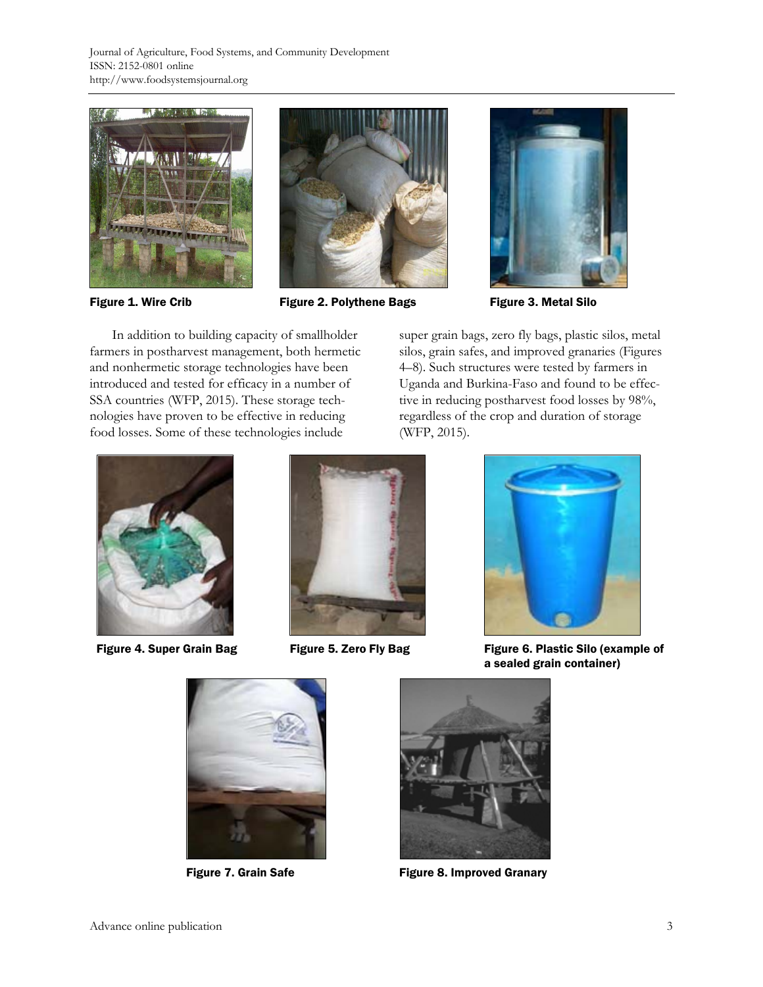Journal of Agriculture, Food Systems, and Community Development ISSN: 2152-0801 online http://www.foodsystemsjournal.org





Figure 1. Wire Crib **Figure 2. Polythene Bags** Figure 3. Metal Silo



 In addition to building capacity of smallholder farmers in postharvest management, both hermetic and nonhermetic storage technologies have been introduced and tested for efficacy in a number of SSA countries (WFP, 2015). These storage technologies have proven to be effective in reducing food losses. Some of these technologies include

super grain bags, zero fly bags, plastic silos, metal silos, grain safes, and improved granaries (Figures 4–8). Such structures were tested by farmers in Uganda and Burkina-Faso and found to be effective in reducing postharvest food losses by 98%, regardless of the crop and duration of storage (WFP, 2015).







Figure 4. Super Grain Bag Figure 5. Zero Fly Bag Figure 6. Plastic Silo (example of a sealed grain container)





Figure 7. Grain Safe Figure 8. Improved Granary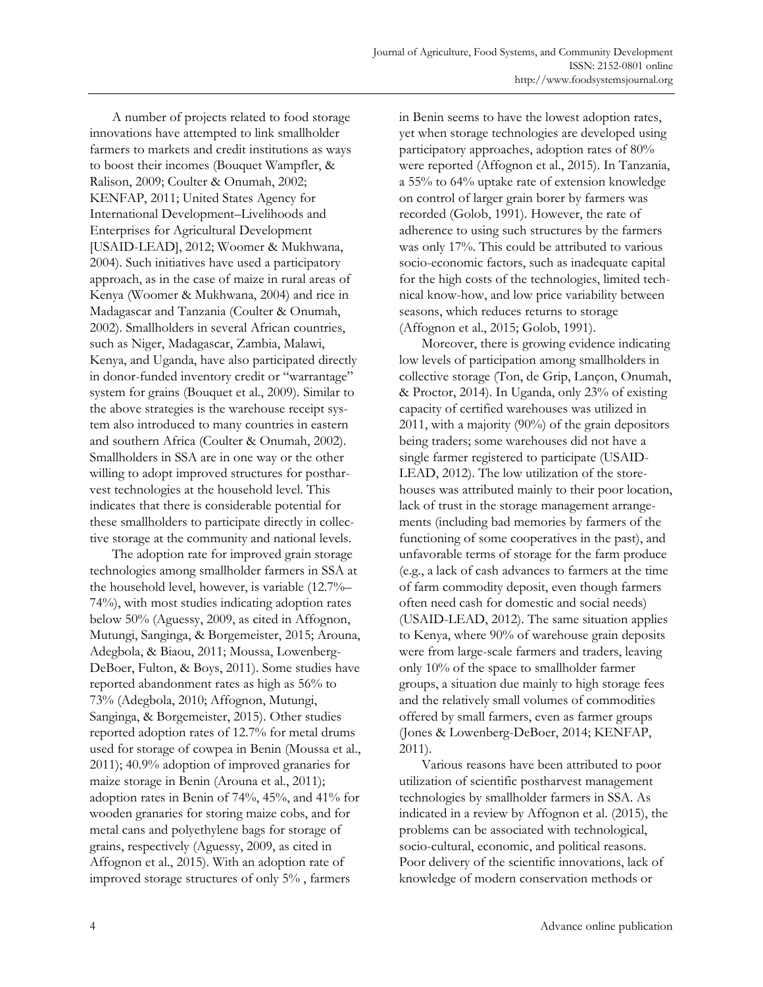A number of projects related to food storage innovations have attempted to link smallholder farmers to markets and credit institutions as ways to boost their incomes (Bouquet Wampfler, & Ralison, 2009; Coulter & Onumah, 2002; KENFAP, 2011; United States Agency for International Development–Livelihoods and Enterprises for Agricultural Development [USAID-LEAD], 2012; Woomer & Mukhwana, 2004). Such initiatives have used a participatory approach, as in the case of maize in rural areas of Kenya (Woomer & Mukhwana, 2004) and rice in Madagascar and Tanzania (Coulter & Onumah, 2002). Smallholders in several African countries, such as Niger, Madagascar, Zambia, Malawi, Kenya, and Uganda, have also participated directly in donor-funded inventory credit or "warrantage" system for grains (Bouquet et al*.*, 2009). Similar to the above strategies is the warehouse receipt system also introduced to many countries in eastern and southern Africa (Coulter & Onumah, 2002). Smallholders in SSA are in one way or the other willing to adopt improved structures for postharvest technologies at the household level. This indicates that there is considerable potential for these smallholders to participate directly in collective storage at the community and national levels.

 The adoption rate for improved grain storage technologies among smallholder farmers in SSA at the household level, however, is variable (12.7%– 74%), with most studies indicating adoption rates below 50% (Aguessy, 2009, as cited in Affognon, Mutungi, Sanginga, & Borgemeister, 2015; Arouna, Adegbola, & Biaou, 2011; Moussa, Lowenberg-DeBoer, Fulton, & Boys, 2011). Some studies have reported abandonment rates as high as 56% to 73% (Adegbola, 2010; Affognon, Mutungi, Sanginga, & Borgemeister, 2015). Other studies reported adoption rates of 12.7% for metal drums used for storage of cowpea in Benin (Moussa et al., 2011); 40.9% adoption of improved granaries for maize storage in Benin (Arouna et al., 2011); adoption rates in Benin of 74%, 45%, and 41% for wooden granaries for storing maize cobs, and for metal cans and polyethylene bags for storage of grains, respectively (Aguessy, 2009, as cited in Affognon et al., 2015). With an adoption rate of improved storage structures of only 5% , farmers

in Benin seems to have the lowest adoption rates, yet when storage technologies are developed using participatory approaches, adoption rates of 80% were reported (Affognon et al., 2015). In Tanzania, a 55% to 64% uptake rate of extension knowledge on control of larger grain borer by farmers was recorded (Golob, 1991). However, the rate of adherence to using such structures by the farmers was only 17%. This could be attributed to various socio-economic factors, such as inadequate capital for the high costs of the technologies, limited technical know-how, and low price variability between seasons, which reduces returns to storage (Affognon et al., 2015; Golob, 1991).

 Moreover, there is growing evidence indicating low levels of participation among smallholders in collective storage (Ton, de Grip, Lançon, Onumah, & Proctor, 2014). In Uganda, only 23% of existing capacity of certified warehouses was utilized in 2011, with a majority (90%) of the grain depositors being traders; some warehouses did not have a single farmer registered to participate (USAID-LEAD, 2012). The low utilization of the storehouses was attributed mainly to their poor location, lack of trust in the storage management arrangements (including bad memories by farmers of the functioning of some cooperatives in the past), and unfavorable terms of storage for the farm produce (e.g., a lack of cash advances to farmers at the time of farm commodity deposit, even though farmers often need cash for domestic and social needs) (USAID-LEAD, 2012). The same situation applies to Kenya, where 90% of warehouse grain deposits were from large-scale farmers and traders, leaving only 10% of the space to smallholder farmer groups, a situation due mainly to high storage fees and the relatively small volumes of commodities offered by small farmers, even as farmer groups (Jones & Lowenberg-DeBoer, 2014; KENFAP, 2011).

 Various reasons have been attributed to poor utilization of scientific postharvest management technologies by smallholder farmers in SSA. As indicated in a review by Affognon et al. (2015), the problems can be associated with technological, socio-cultural, economic, and political reasons. Poor delivery of the scientific innovations, lack of knowledge of modern conservation methods or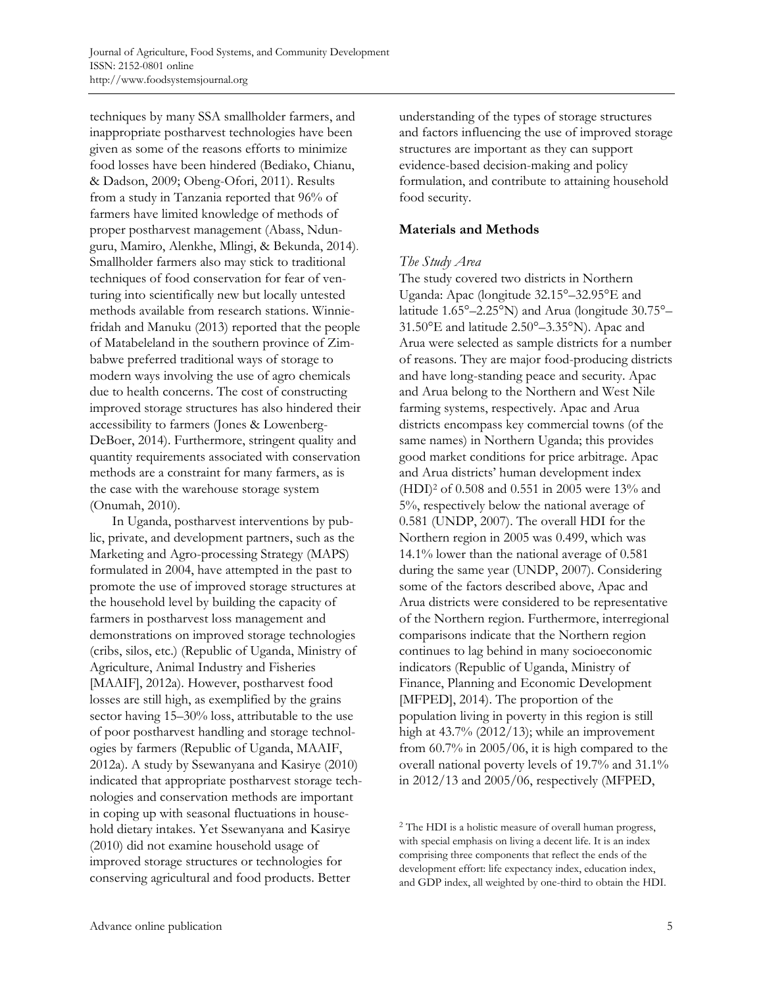techniques by many SSA smallholder farmers, and inappropriate postharvest technologies have been given as some of the reasons efforts to minimize food losses have been hindered (Bediako, Chianu, & Dadson, 2009; Obeng-Ofori, 2011). Results from a study in Tanzania reported that 96% of farmers have limited knowledge of methods of proper postharvest management (Abass, Ndunguru, Mamiro, Alenkhe, Mlingi, & Bekunda, 2014). Smallholder farmers also may stick to traditional techniques of food conservation for fear of venturing into scientifically new but locally untested methods available from research stations. Winniefridah and Manuku (2013) reported that the people of Matabeleland in the southern province of Zimbabwe preferred traditional ways of storage to modern ways involving the use of agro chemicals due to health concerns. The cost of constructing improved storage structures has also hindered their accessibility to farmers (Jones & Lowenberg-DeBoer, 2014). Furthermore, stringent quality and quantity requirements associated with conservation methods are a constraint for many farmers, as is the case with the warehouse storage system (Onumah, 2010).

 In Uganda, postharvest interventions by public, private, and development partners, such as the Marketing and Agro-processing Strategy (MAPS) formulated in 2004, have attempted in the past to promote the use of improved storage structures at the household level by building the capacity of farmers in postharvest loss management and demonstrations on improved storage technologies (cribs, silos, etc.) (Republic of Uganda, Ministry of Agriculture, Animal Industry and Fisheries [MAAIF], 2012a). However, postharvest food losses are still high, as exemplified by the grains sector having 15–30% loss, attributable to the use of poor postharvest handling and storage technologies by farmers (Republic of Uganda, MAAIF, 2012a). A study by Ssewanyana and Kasirye (2010) indicated that appropriate postharvest storage technologies and conservation methods are important in coping up with seasonal fluctuations in household dietary intakes. Yet Ssewanyana and Kasirye (2010) did not examine household usage of improved storage structures or technologies for conserving agricultural and food products. Better

understanding of the types of storage structures and factors influencing the use of improved storage structures are important as they can support evidence-based decision-making and policy formulation, and contribute to attaining household food security.

## **Materials and Methods**

## *The Study Area*

The study covered two districts in Northern Uganda: Apac (longitude 32.15°–32.95°E and latitude 1.65°–2.25°N) and Arua (longitude 30.75°– 31.50°E and latitude 2.50°–3.35°N). Apac and Arua were selected as sample districts for a number of reasons. They are major food-producing districts and have long-standing peace and security. Apac and Arua belong to the Northern and West Nile farming systems, respectively. Apac and Arua districts encompass key commercial towns (of the same names) in Northern Uganda; this provides good market conditions for price arbitrage. Apac and Arua districts' human development index (HDI)2 of 0.508 and 0.551 in 2005 were 13% and 5%, respectively below the national average of 0.581 (UNDP, 2007). The overall HDI for the Northern region in 2005 was 0.499, which was 14.1% lower than the national average of 0.581 during the same year (UNDP, 2007). Considering some of the factors described above, Apac and Arua districts were considered to be representative of the Northern region. Furthermore, interregional comparisons indicate that the Northern region continues to lag behind in many socioeconomic indicators (Republic of Uganda, Ministry of Finance, Planning and Economic Development [MFPED], 2014). The proportion of the population living in poverty in this region is still high at 43.7% (2012/13); while an improvement from 60.7% in 2005/06, it is high compared to the overall national poverty levels of 19.7% and 31.1% in 2012/13 and 2005/06, respectively (MFPED,

<sup>2</sup> The HDI is a holistic measure of overall human progress, with special emphasis on living a decent life. It is an index comprising three components that reflect the ends of the development effort: life expectancy index, education index, and GDP index, all weighted by one-third to obtain the HDI.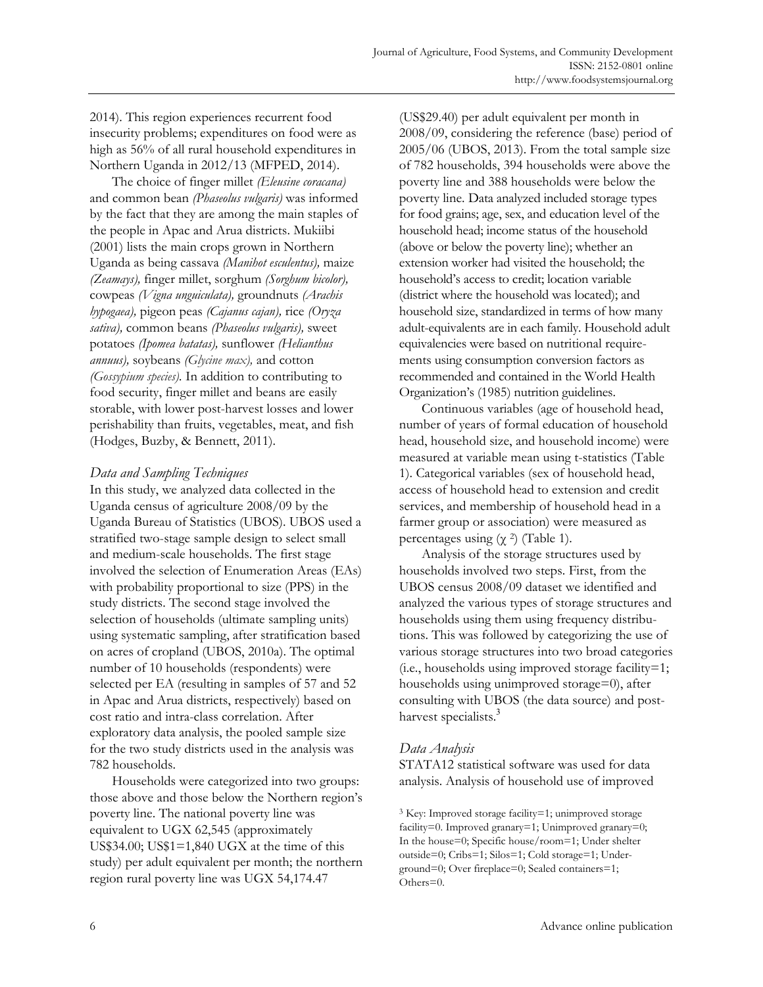2014). This region experiences recurrent food insecurity problems; expenditures on food were as high as 56% of all rural household expenditures in Northern Uganda in 2012/13 (MFPED, 2014).

 The choice of finger millet *(Eleusine coracana)* and common bean *(Phaseolus vulgaris)* was informed by the fact that they are among the main staples of the people in Apac and Arua districts. Mukiibi (2001) lists the main crops grown in Northern Uganda as being cassava *(Manihot esculentus),* maize *(Zeamays),* finger millet, sorghum *(Sorghum bicolor),* cowpeas *(Vigna unguiculata),* groundnuts *(Arachis hypogaea),* pigeon peas *(Cajanus cajan),* rice *(Oryza sativa),* common beans *(Phaseolus vulgaris),* sweet potatoes *(Ipomea batatas),* sunflower *(Helianthus annuus),* soybeans *(Glycine max),* and cotton *(Gossypium species).* In addition to contributing to food security, finger millet and beans are easily storable, with lower post-harvest losses and lower perishability than fruits, vegetables, meat, and fish (Hodges, Buzby, & Bennett, 2011).

## *Data and Sampling Techniques*

In this study, we analyzed data collected in the Uganda census of agriculture 2008/09 by the Uganda Bureau of Statistics (UBOS). UBOS used a stratified two-stage sample design to select small and medium-scale households. The first stage involved the selection of Enumeration Areas (EAs) with probability proportional to size (PPS) in the study districts. The second stage involved the selection of households (ultimate sampling units) using systematic sampling, after stratification based on acres of cropland (UBOS, 2010a). The optimal number of 10 households (respondents) were selected per EA (resulting in samples of 57 and 52 in Apac and Arua districts, respectively) based on cost ratio and intra-class correlation. After exploratory data analysis, the pooled sample size for the two study districts used in the analysis was 782 households.

 Households were categorized into two groups: those above and those below the Northern region's poverty line. The national poverty line was equivalent to UGX 62,545 (approximately US\$34.00; US\$1=1,840 UGX at the time of this study) per adult equivalent per month; the northern region rural poverty line was UGX 54,174.47

(US\$29.40) per adult equivalent per month in 2008/09, considering the reference (base) period of 2005/06 (UBOS, 2013). From the total sample size of 782 households, 394 households were above the poverty line and 388 households were below the poverty line. Data analyzed included storage types for food grains; age, sex, and education level of the household head; income status of the household (above or below the poverty line); whether an extension worker had visited the household; the household's access to credit; location variable (district where the household was located); and household size, standardized in terms of how many adult-equivalents are in each family. Household adult equivalencies were based on nutritional requirements using consumption conversion factors as recommended and contained in the World Health Organization's (1985) nutrition guidelines.

 Continuous variables (age of household head, number of years of formal education of household head, household size, and household income) were measured at variable mean using t-statistics (Table 1). Categorical variables (sex of household head, access of household head to extension and credit services, and membership of household head in a farmer group or association) were measured as percentages using  $(\gamma^2)$  (Table 1).

 Analysis of the storage structures used by households involved two steps. First, from the UBOS census 2008/09 dataset we identified and analyzed the various types of storage structures and households using them using frequency distributions. This was followed by categorizing the use of various storage structures into two broad categories (i.e., households using improved storage facility=1; households using unimproved storage=0), after consulting with UBOS (the data source) and postharvest specialists.<sup>3</sup>

## *Data Analysis*

STATA12 statistical software was used for data analysis. Analysis of household use of improved

3 Key: Improved storage facility=1; unimproved storage facility=0. Improved granary=1; Unimproved granary=0; In the house=0; Specific house/room=1; Under shelter outside=0; Cribs=1; Silos=1; Cold storage=1; Underground=0; Over fireplace=0; Sealed containers=1; Others=0.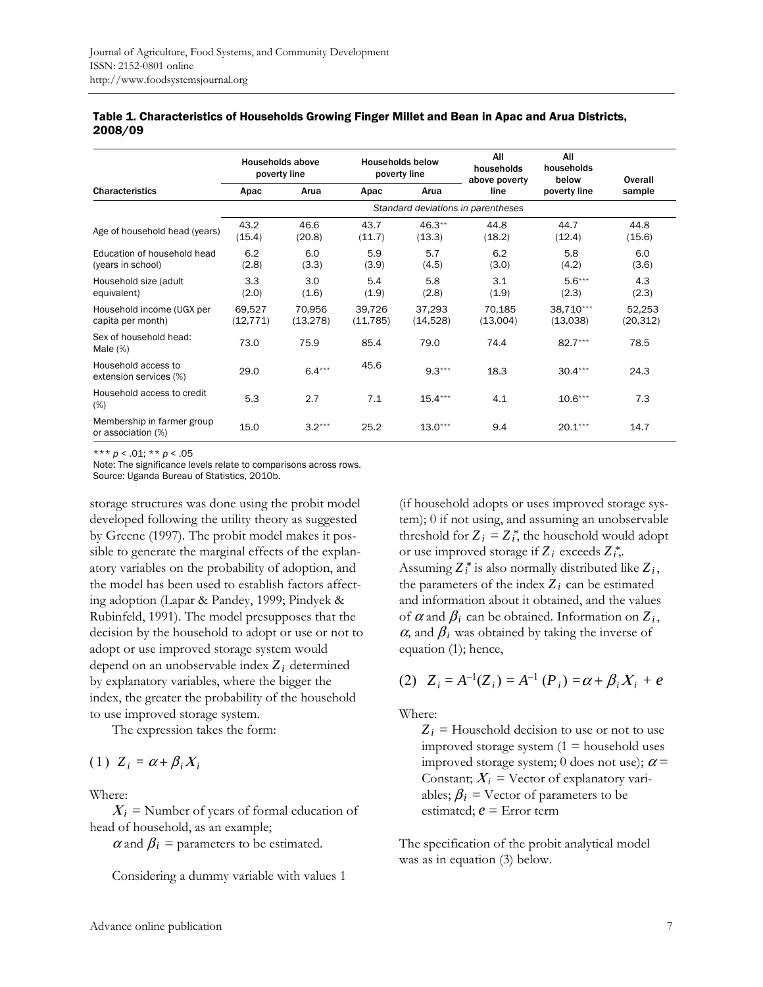|                                                  | Households above<br>poverty line   |                     | <b>Households below</b><br>poverty line |                    | All<br>households<br>above poverty | All<br>households<br>below | Overall             |  |
|--------------------------------------------------|------------------------------------|---------------------|-----------------------------------------|--------------------|------------------------------------|----------------------------|---------------------|--|
| <b>Characteristics</b>                           | Apac                               | Arua                | Apac                                    | Arua               | line                               | poverty line               | sample              |  |
|                                                  | Standard deviations in parentheses |                     |                                         |                    |                                    |                            |                     |  |
| Age of household head (years)                    | 43.2<br>(15.4)                     | 46.6<br>(20.8)      | 43.7<br>(11.7)                          | $46.3**$<br>(13.3) | 44.8<br>(18.2)                     | 44.7<br>(12.4)             | 44.8<br>(15.6)      |  |
| Education of household head<br>(years in school) | 6.2<br>(2.8)                       | 6.0<br>(3.3)        | 5.9<br>(3.9)                            | 5.7<br>(4.5)       | 6.2<br>(3.0)                       | 5.8<br>(4.2)               | 6.0<br>(3.6)        |  |
| Household size (adult<br>equivalent)             | 3.3<br>(2.0)                       | 3.0<br>(1.6)        | 5.4<br>(1.9)                            | 5.8<br>(2.8)       | 3.1<br>(1.9)                       | $5.6***$<br>(2.3)          | 4.3<br>(2.3)        |  |
| Household income (UGX per<br>capita per month)   | 69,527<br>(12, 771)                | 70,956<br>(13, 278) | 39,726<br>(11, 785)                     | 37,293<br>(14,528) | 70,185<br>(13,004)                 | 38,710***<br>(13,038)      | 52,253<br>(20, 312) |  |
| Sex of household head:<br>Male $(\%)$            | 73.0                               | 75.9                | 85.4                                    | 79.0               | 74.4                               | $82.7***$                  | 78.5                |  |
| Household access to<br>extension services (%)    | 29.0                               | $6.4***$            | 45.6                                    | $9.3***$           | 18.3                               | $30.4***$                  | 24.3                |  |
| Household access to credit<br>(%)                | 5.3                                | 2.7                 | 7.1                                     | $15.4***$          | 4.1                                | $10.6***$                  | 7.3                 |  |
| Membership in farmer group<br>or association (%) | 15.0                               | $3.2***$            | 25.2                                    | $13.0***$          | 9.4                                | $20.1***$                  | 14.7                |  |

#### Table 1. Characteristics of Households Growing Finger Millet and Bean in Apac and Arua Districts, 2008/09

\*\*\* *p* < .01; \*\* *p* < .05

Note: The significance levels relate to comparisons across rows. Source: Uganda Bureau of Statistics, 2010b.

storage structures was done using the probit model developed following the utility theory as suggested by Greene (1997). The probit model makes it possible to generate the marginal effects of the explanatory variables on the probability of adoption, and the model has been used to establish factors affecting adoption (Lapar & Pandey, 1999; Pindyek & Rubinfeld, 1991). The model presupposes that the decision by the household to adopt or use or not to adopt or use improved storage system would depend on an unobservable index  $Z_i$  determined by explanatory variables, where the bigger the index, the greater the probability of the household to use improved storage system.

The expression takes the form:

$$
(1) Z_i = \alpha + \beta_i X_i
$$

Where:

 $X_i$  = Number of years of formal education of head of household, as an example;

 $\alpha$  and  $\beta_i$  = parameters to be estimated.

Considering a dummy variable with values 1

(if household adopts or uses improved storage system); 0 if not using, and assuming an unobservable threshold for  $Z_i = Z_i^*$ , the household would adopt or use improved storage if  $Z_i$  exceeds  $Z_i^*$ ,. Assuming  $Z_i^*$  is also normally distributed like  $Z_i$ , the parameters of the index  $Z_i$  can be estimated and information about it obtained, and the values of  $\alpha$  and  $\beta_i$  can be obtained. Information on  $Z_i$ ,  $\alpha$ , and  $\beta$ <sub>*i*</sub> was obtained by taking the inverse of equation (1); hence,

(2) 
$$
Z_i = A^{-1}(Z_i) = A^{-1}(P_i) = \alpha + \beta_i X_i + e
$$

Where:

 $Z_i$  = Household decision to use or not to use improved storage system  $(1 =$  household uses improved storage system; 0 does not use);  $\alpha$  = Constant;  $X_i$  = Vector of explanatory variables;  $\beta_i$  = Vector of parameters to be estimated; *e* = Error term

The specification of the probit analytical model was as in equation (3) below.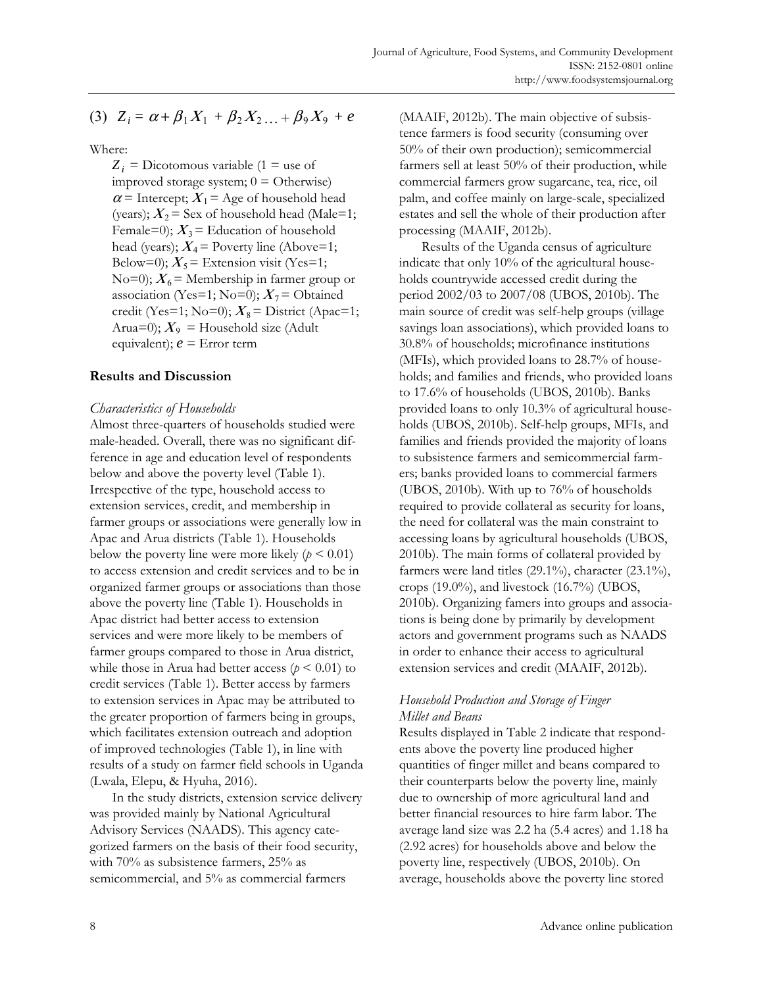(3) 
$$
Z_i = \alpha + \beta_1 X_1 + \beta_2 X_2 ... + \beta_9 X_9 + e
$$

Where:

 $Z_i$  = Dicotomous variable (1 = use of improved storage system;  $0 =$  Otherwise)  $\alpha$  = Intercept;  $X_1$  = Age of household head (years);  $X_2$  = Sex of household head (Male=1; Female=0);  $X_3$  = Education of household head (years);  $X_4$  = Poverty line (Above=1; Below=0);  $X_5$  = Extension visit (Yes=1; No=0);  $X_6$  = Membership in farmer group or association (Yes=1; No=0);  $X_7$  = Obtained credit (Yes=1; No=0);  $X_8$  = District (Apac=1; Arua=0);  $X_9$  = Household size (Adult equivalent); *e* = Error term

#### **Results and Discussion**

#### *Characteristics of Households*

Almost three-quarters of households studied were male-headed. Overall, there was no significant difference in age and education level of respondents below and above the poverty level (Table 1). Irrespective of the type, household access to extension services, credit, and membership in farmer groups or associations were generally low in Apac and Arua districts (Table 1). Households below the poverty line were more likely  $(p < 0.01)$ to access extension and credit services and to be in organized farmer groups or associations than those above the poverty line (Table 1). Households in Apac district had better access to extension services and were more likely to be members of farmer groups compared to those in Arua district, while those in Arua had better access ( $p < 0.01$ ) to credit services (Table 1). Better access by farmers to extension services in Apac may be attributed to the greater proportion of farmers being in groups, which facilitates extension outreach and adoption of improved technologies (Table 1), in line with results of a study on farmer field schools in Uganda (Lwala, Elepu, & Hyuha, 2016).

 In the study districts, extension service delivery was provided mainly by National Agricultural Advisory Services (NAADS). This agency categorized farmers on the basis of their food security, with 70% as subsistence farmers, 25% as semicommercial, and 5% as commercial farmers

(MAAIF, 2012b). The main objective of subsistence farmers is food security (consuming over 50% of their own production); semicommercial farmers sell at least 50% of their production, while commercial farmers grow sugarcane, tea, rice, oil palm, and coffee mainly on large-scale, specialized estates and sell the whole of their production after processing (MAAIF, 2012b).

 Results of the Uganda census of agriculture indicate that only 10% of the agricultural households countrywide accessed credit during the period 2002/03 to 2007/08 (UBOS, 2010b). The main source of credit was self-help groups (village savings loan associations), which provided loans to 30.8% of households; microfinance institutions (MFIs), which provided loans to 28.7% of households; and families and friends, who provided loans to 17.6% of households (UBOS, 2010b). Banks provided loans to only 10.3% of agricultural households (UBOS, 2010b). Self-help groups, MFIs, and families and friends provided the majority of loans to subsistence farmers and semicommercial farmers; banks provided loans to commercial farmers (UBOS, 2010b). With up to 76% of households required to provide collateral as security for loans, the need for collateral was the main constraint to accessing loans by agricultural households (UBOS, 2010b). The main forms of collateral provided by farmers were land titles (29.1%), character (23.1%), crops  $(19.0\%)$ , and livestock  $(16.7\%)$  (UBOS, 2010b). Organizing famers into groups and associations is being done by primarily by development actors and government programs such as NAADS in order to enhance their access to agricultural extension services and credit (MAAIF, 2012b).

#### *Household Production and Storage of Finger Millet and Beans*

Results displayed in Table 2 indicate that respondents above the poverty line produced higher quantities of finger millet and beans compared to their counterparts below the poverty line, mainly due to ownership of more agricultural land and better financial resources to hire farm labor. The average land size was 2.2 ha (5.4 acres) and 1.18 ha (2.92 acres) for households above and below the poverty line, respectively (UBOS, 2010b). On average, households above the poverty line stored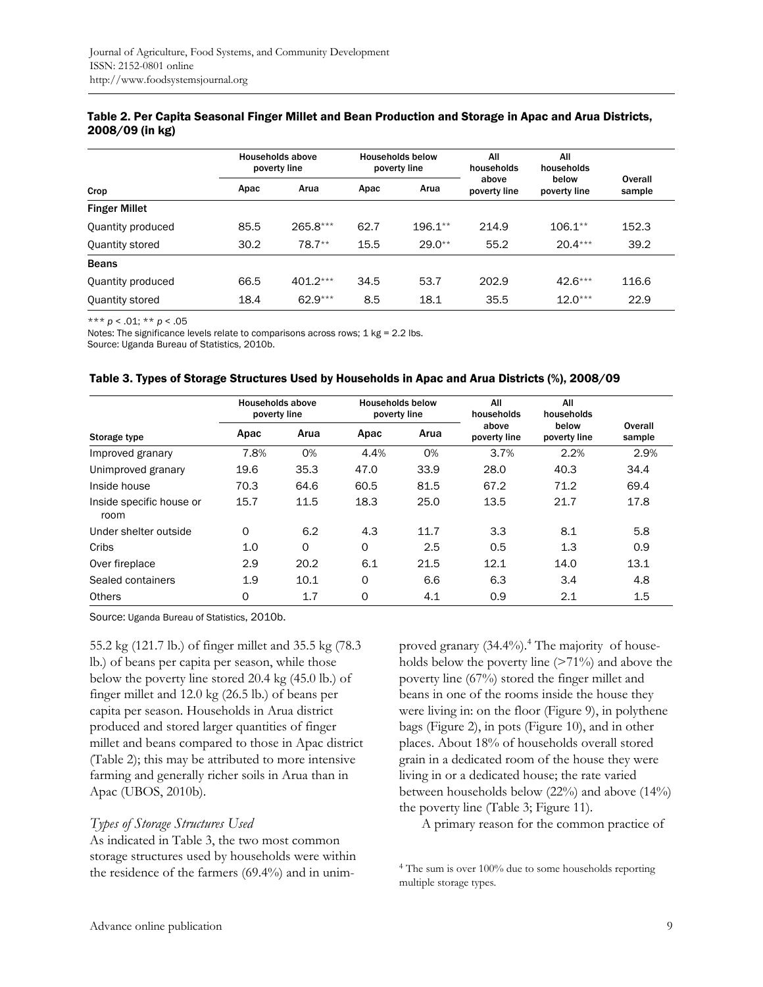| Crop                 | <b>Households above</b><br>poverty line |            |      | <b>Households below</b><br>poverty line | All<br>households     | All<br>households     |                   |
|----------------------|-----------------------------------------|------------|------|-----------------------------------------|-----------------------|-----------------------|-------------------|
|                      | Apac                                    | Arua       | Apac | Arua                                    | above<br>poverty line | below<br>poverty line | Overall<br>sample |
| <b>Finger Millet</b> |                                         |            |      |                                         |                       |                       |                   |
| Quantity produced    | 85.5                                    | $265.8***$ | 62.7 | $196.1**$                               | 214.9                 | $106.1**$             | 152.3             |
| Quantity stored      | 30.2                                    | 78.7**     | 15.5 | $29.0**$                                | 55.2                  | $20.4***$             | 39.2              |
| <b>Beans</b>         |                                         |            |      |                                         |                       |                       |                   |
| Quantity produced    | 66.5                                    | $401.2***$ | 34.5 | 53.7                                    | 202.9                 | $42.6***$             | 116.6             |
| Quantity stored      | 18.4                                    | $62.9***$  | 8.5  | 18.1                                    | 35.5                  | $12.0***$             | 22.9              |

#### Table 2. Per Capita Seasonal Finger Millet and Bean Production and Storage in Apac and Arua Districts, 2008/09 (in kg)

\*\*\* *p* < .01; \*\* *p* < .05

Notes: The significance levels relate to comparisons across rows; 1 kg = 2.2 lbs.

Source: Uganda Bureau of Statistics, 2010b.

| Table 3. Types of Storage Structures Used by Households in Apac and Arua Districts (%), 2008/09 |  |  |
|-------------------------------------------------------------------------------------------------|--|--|
|                                                                                                 |  |  |

|                                  | Households above<br>poverty line |          | <b>Households below</b><br>poverty line |      | All<br>households     | All<br>households     |                   |
|----------------------------------|----------------------------------|----------|-----------------------------------------|------|-----------------------|-----------------------|-------------------|
| Storage type                     | Apac                             | Arua     | Apac                                    | Arua | above<br>poverty line | below<br>poverty line | Overall<br>sample |
| Improved granary                 | 7.8%                             | 0%       | 4.4%                                    | 0%   | 3.7%                  | 2.2%                  | 2.9%              |
| Unimproved granary               | 19.6                             | 35.3     | 47.0                                    | 33.9 | 28.0                  | 40.3                  | 34.4              |
| Inside house                     | 70.3                             | 64.6     | 60.5                                    | 81.5 | 67.2                  | 71.2                  | 69.4              |
| Inside specific house or<br>room | 15.7                             | 11.5     | 18.3                                    | 25.0 | 13.5                  | 21.7                  | 17.8              |
| Under shelter outside            | 0                                | 6.2      | 4.3                                     | 11.7 | 3.3                   | 8.1                   | 5.8               |
| Cribs                            | 1.0                              | $\Omega$ | $\Omega$                                | 2.5  | 0.5                   | 1.3                   | 0.9               |
| Over fireplace                   | 2.9                              | 20.2     | 6.1                                     | 21.5 | 12.1                  | 14.0                  | 13.1              |
| Sealed containers                | 1.9                              | 10.1     | 0                                       | 6.6  | 6.3                   | 3.4                   | 4.8               |
| <b>Others</b>                    | 0                                | 1.7      | 0                                       | 4.1  | 0.9                   | 2.1                   | 1.5               |

Source: Uganda Bureau of Statistics, 2010b.

55.2 kg (121.7 lb.) of finger millet and 35.5 kg (78.3 lb.) of beans per capita per season, while those below the poverty line stored 20.4 kg (45.0 lb.) of finger millet and 12.0 kg (26.5 lb.) of beans per capita per season. Households in Arua district produced and stored larger quantities of finger millet and beans compared to those in Apac district (Table 2); this may be attributed to more intensive farming and generally richer soils in Arua than in Apac (UBOS, 2010b).

## *Types of Storage Structures Used*

As indicated in Table 3, the two most common storage structures used by households were within the residence of the farmers (69.4%) and in unim-

proved granary (34.4%).<sup>4</sup> The majority of households below the poverty line (>71%) and above the poverty line (67%) stored the finger millet and beans in one of the rooms inside the house they were living in: on the floor (Figure 9), in polythene bags (Figure 2), in pots (Figure 10), and in other places. About 18% of households overall stored grain in a dedicated room of the house they were living in or a dedicated house; the rate varied between households below (22%) and above (14%) the poverty line (Table 3; Figure 11).

A primary reason for the common practice of

4 The sum is over 100% due to some households reporting multiple storage types.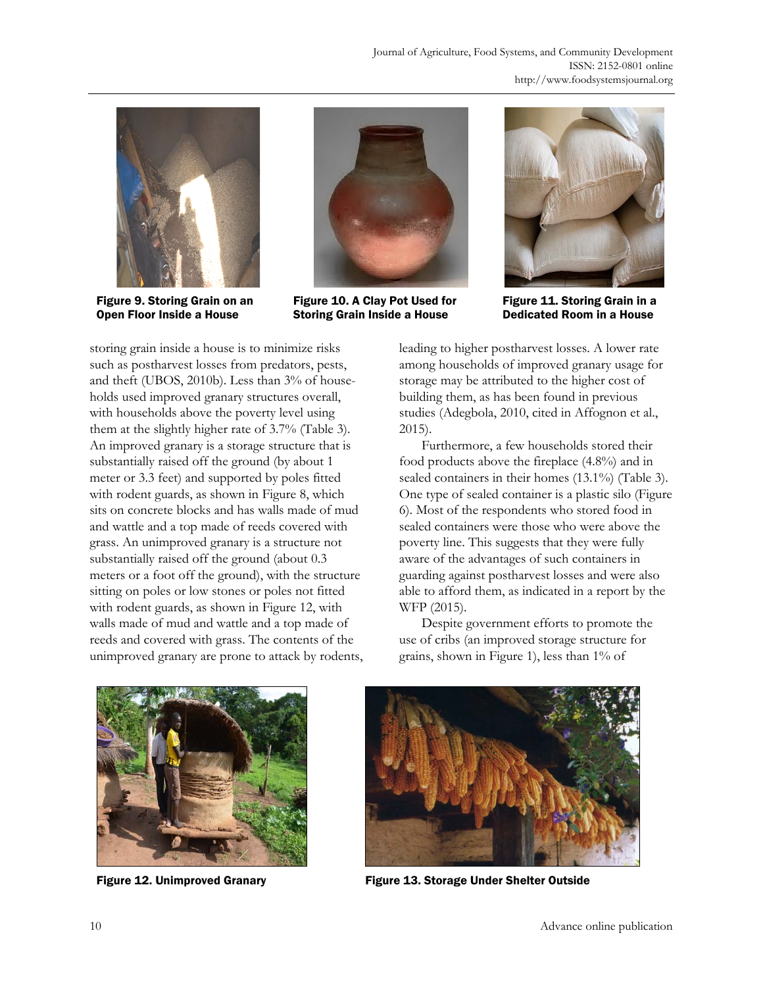

Figure 9. Storing Grain on an Open Floor Inside a House



Figure 10. A Clay Pot Used for Storing Grain Inside a House



Figure 11. Storing Grain in a Dedicated Room in a House

storing grain inside a house is to minimize risks such as postharvest losses from predators, pests, and theft (UBOS, 2010b). Less than 3% of households used improved granary structures overall, with households above the poverty level using them at the slightly higher rate of 3.7% (Table 3). An improved granary is a storage structure that is substantially raised off the ground (by about 1 meter or 3.3 feet) and supported by poles fitted with rodent guards, as shown in Figure 8, which sits on concrete blocks and has walls made of mud and wattle and a top made of reeds covered with grass. An unimproved granary is a structure not substantially raised off the ground (about 0.3 meters or a foot off the ground), with the structure sitting on poles or low stones or poles not fitted with rodent guards, as shown in Figure 12, with walls made of mud and wattle and a top made of reeds and covered with grass. The contents of the unimproved granary are prone to attack by rodents, leading to higher postharvest losses. A lower rate among households of improved granary usage for storage may be attributed to the higher cost of building them, as has been found in previous studies (Adegbola, 2010, cited in Affognon et al., 2015).

 Furthermore, a few households stored their food products above the fireplace (4.8%) and in sealed containers in their homes (13.1%) (Table 3). One type of sealed container is a plastic silo (Figure 6). Most of the respondents who stored food in sealed containers were those who were above the poverty line. This suggests that they were fully aware of the advantages of such containers in guarding against postharvest losses and were also able to afford them, as indicated in a report by the WFP (2015).

 Despite government efforts to promote the use of cribs (an improved storage structure for grains, shown in Figure 1), less than 1% of





Figure 12. Unimproved Granary Figure 13. Storage Under Shelter Outside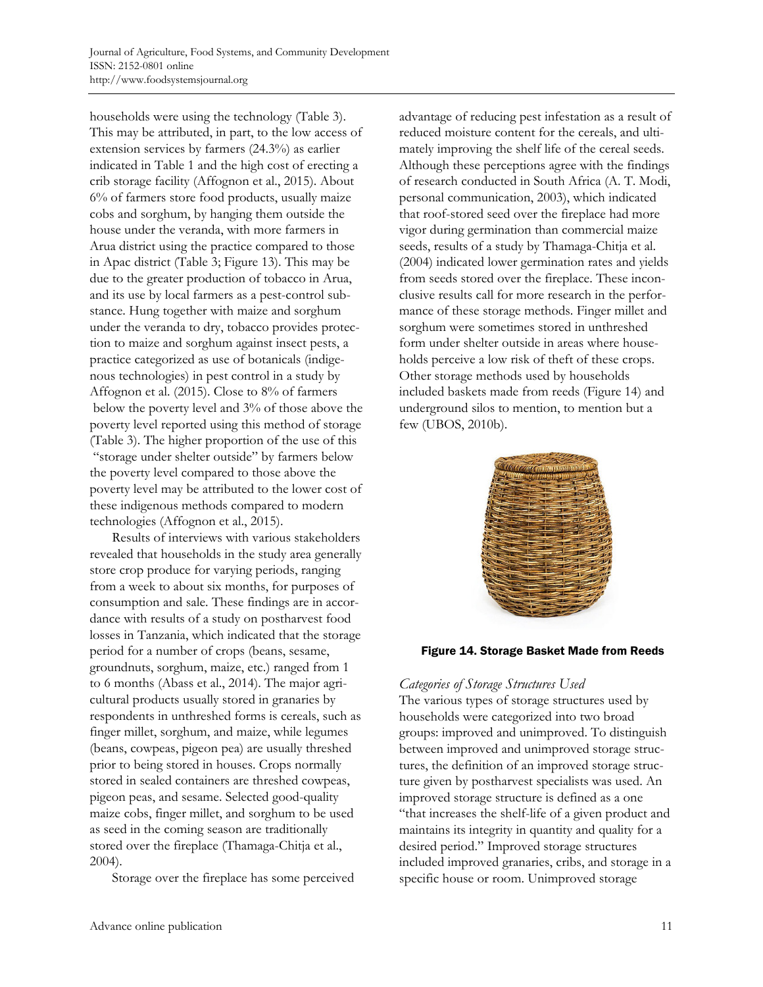households were using the technology (Table 3). This may be attributed, in part, to the low access of extension services by farmers (24.3%) as earlier indicated in Table 1 and the high cost of erecting a crib storage facility (Affognon et al., 2015). About 6% of farmers store food products, usually maize cobs and sorghum, by hanging them outside the house under the veranda, with more farmers in Arua district using the practice compared to those in Apac district (Table 3; Figure 13). This may be due to the greater production of tobacco in Arua, and its use by local farmers as a pest-control substance. Hung together with maize and sorghum under the veranda to dry, tobacco provides protection to maize and sorghum against insect pests, a practice categorized as use of botanicals (indigenous technologies) in pest control in a study by Affognon et al. (2015). Close to 8% of farmers below the poverty level and 3% of those above the poverty level reported using this method of storage (Table 3). The higher proportion of the use of this "storage under shelter outside" by farmers below the poverty level compared to those above the poverty level may be attributed to the lower cost of these indigenous methods compared to modern technologies (Affognon et al., 2015).

 Results of interviews with various stakeholders revealed that households in the study area generally store crop produce for varying periods, ranging from a week to about six months, for purposes of consumption and sale. These findings are in accordance with results of a study on postharvest food losses in Tanzania, which indicated that the storage period for a number of crops (beans, sesame, groundnuts, sorghum, maize, etc.) ranged from 1 to 6 months (Abass et al., 2014). The major agricultural products usually stored in granaries by respondents in unthreshed forms is cereals, such as finger millet, sorghum, and maize, while legumes (beans, cowpeas, pigeon pea) are usually threshed prior to being stored in houses. Crops normally stored in sealed containers are threshed cowpeas, pigeon peas, and sesame. Selected good-quality maize cobs, finger millet, and sorghum to be used as seed in the coming season are traditionally stored over the fireplace (Thamaga-Chitja et al., 2004).

Storage over the fireplace has some perceived

advantage of reducing pest infestation as a result of reduced moisture content for the cereals, and ultimately improving the shelf life of the cereal seeds. Although these perceptions agree with the findings of research conducted in South Africa (A. T. Modi, personal communication, 2003), which indicated that roof-stored seed over the fireplace had more vigor during germination than commercial maize seeds, results of a study by Thamaga-Chitja et al. (2004) indicated lower germination rates and yields from seeds stored over the fireplace. These inconclusive results call for more research in the performance of these storage methods. Finger millet and sorghum were sometimes stored in unthreshed form under shelter outside in areas where households perceive a low risk of theft of these crops. Other storage methods used by households included baskets made from reeds (Figure 14) and underground silos to mention, to mention but a few (UBOS, 2010b).



## Figure 14. Storage Basket Made from Reeds

## *Categories of Storage Structures Used*

The various types of storage structures used by households were categorized into two broad groups: improved and unimproved. To distinguish between improved and unimproved storage structures, the definition of an improved storage structure given by postharvest specialists was used. An improved storage structure is defined as a one "that increases the shelf-life of a given product and maintains its integrity in quantity and quality for a desired period." Improved storage structures included improved granaries, cribs, and storage in a specific house or room. Unimproved storage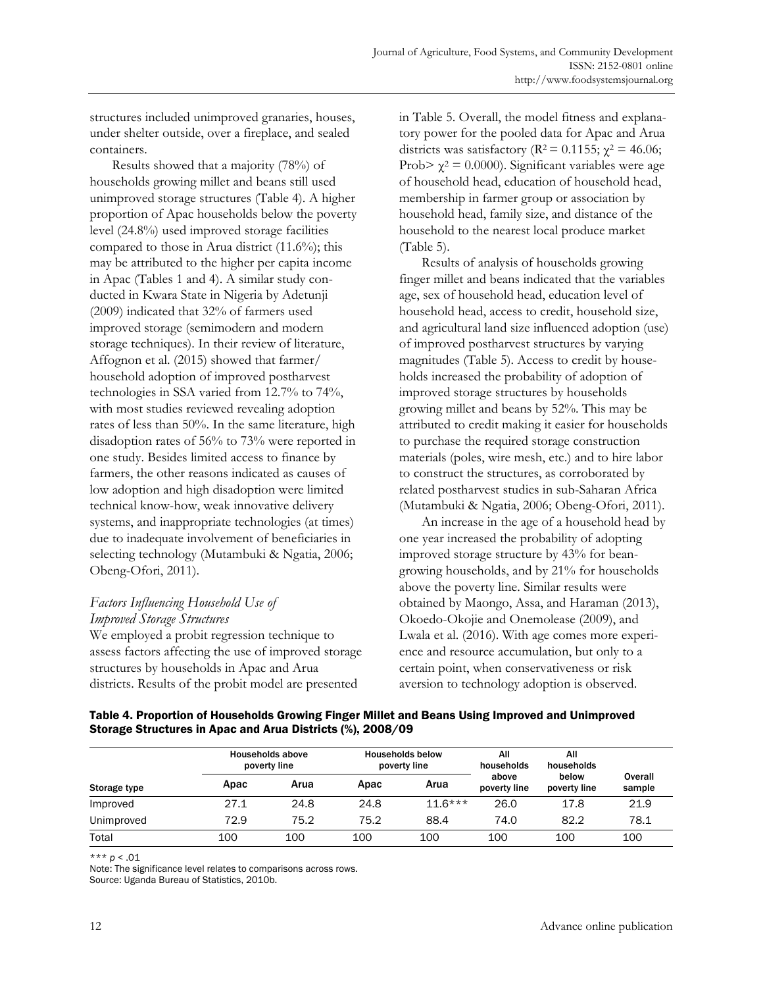structures included unimproved granaries, houses, under shelter outside, over a fireplace, and sealed containers.

 Results showed that a majority (78%) of households growing millet and beans still used unimproved storage structures (Table 4). A higher proportion of Apac households below the poverty level (24.8%) used improved storage facilities compared to those in Arua district (11.6%); this may be attributed to the higher per capita income in Apac (Tables 1 and 4). A similar study conducted in Kwara State in Nigeria by Adetunji (2009) indicated that 32% of farmers used improved storage (semimodern and modern storage techniques). In their review of literature, Affognon et al. (2015) showed that farmer/ household adoption of improved postharvest technologies in SSA varied from 12.7% to 74%, with most studies reviewed revealing adoption rates of less than 50%. In the same literature, high disadoption rates of 56% to 73% were reported in one study. Besides limited access to finance by farmers, the other reasons indicated as causes of low adoption and high disadoption were limited technical know-how, weak innovative delivery systems, and inappropriate technologies (at times) due to inadequate involvement of beneficiaries in selecting technology (Mutambuki & Ngatia, 2006; Obeng-Ofori, 2011).

# *Factors Influencing Household Use of Improved Storage Structures*

We employed a probit regression technique to assess factors affecting the use of improved storage structures by households in Apac and Arua districts. Results of the probit model are presented

in Table 5. Overall, the model fitness and explanatory power for the pooled data for Apac and Arua districts was satisfactory ( $\mathbb{R}^2$  = 0.1155;  $\chi^2$  = 46.06; Prob>  $\chi^2$  = 0.0000). Significant variables were age of household head, education of household head, membership in farmer group or association by household head, family size, and distance of the household to the nearest local produce market (Table 5).

 Results of analysis of households growing finger millet and beans indicated that the variables age, sex of household head, education level of household head, access to credit, household size, and agricultural land size influenced adoption (use) of improved postharvest structures by varying magnitudes (Table 5). Access to credit by households increased the probability of adoption of improved storage structures by households growing millet and beans by 52%. This may be attributed to credit making it easier for households to purchase the required storage construction materials (poles, wire mesh, etc.) and to hire labor to construct the structures, as corroborated by related postharvest studies in sub-Saharan Africa (Mutambuki & Ngatia, 2006; Obeng-Ofori, 2011).

 An increase in the age of a household head by one year increased the probability of adopting improved storage structure by 43% for beangrowing households, and by 21% for households above the poverty line. Similar results were obtained by Maongo, Assa, and Haraman (2013), Okoedo-Okojie and Onemolease (2009), and Lwala et al. (2016). With age comes more experience and resource accumulation, but only to a certain point, when conservativeness or risk aversion to technology adoption is observed.

| Storage type |      | Households above<br>poverty line |      | <b>Households below</b><br>poverty line | All<br>households     | All<br>households     |                   |
|--------------|------|----------------------------------|------|-----------------------------------------|-----------------------|-----------------------|-------------------|
|              | Apac | Arua                             | Apac | Arua                                    | above<br>poverty line | below<br>poverty line | Overall<br>sample |
| Improved     | 27.1 | 24.8                             | 24.8 | $11.6***$                               | 26.0                  | 17.8                  | 21.9              |
| Unimproved   | 72.9 | 75.2                             | 75.2 | 88.4                                    | 74.0                  | 82.2                  | 78.1              |
| Total        | 100  | 100                              | 100  | 100                                     | 100                   | 100                   | 100               |

Table 4. Proportion of Households Growing Finger Millet and Beans Using Improved and Unimproved Storage Structures in Apac and Arua Districts (%), 2008/09

\*\*\* *p* < .01

Note: The significance level relates to comparisons across rows.

Source: Uganda Bureau of Statistics, 2010b.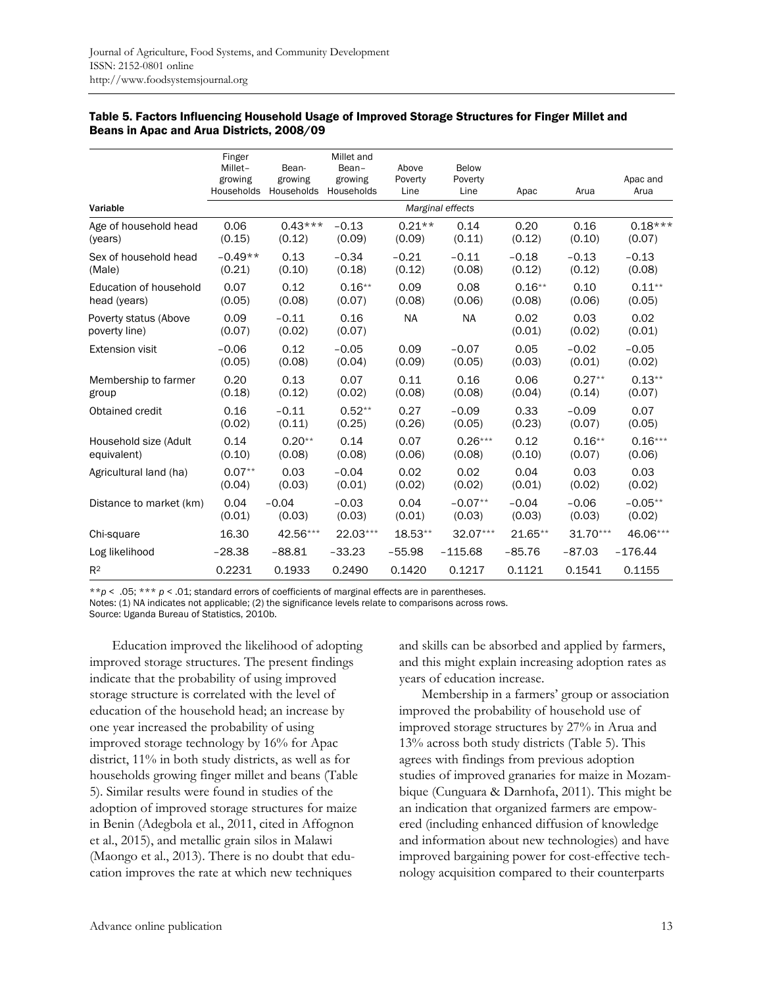|                                        | Finger<br>Millet-<br>growing<br>Households | Bean-<br>growing<br>Households | Millet and<br>Bean-<br>growing<br>Households | Above<br>Poverty<br>Line | Below<br>Poverty<br>Line | Apac           | Arua           | Apac and<br>Arua |
|----------------------------------------|--------------------------------------------|--------------------------------|----------------------------------------------|--------------------------|--------------------------|----------------|----------------|------------------|
| Variable                               |                                            |                                |                                              |                          | Marginal effects         |                |                |                  |
| Age of household head                  | 0.06                                       | $0.43***$                      | $-0.13$                                      | $0.21**$                 | 0.14                     | 0.20           | 0.16           | $0.18***$        |
| (years)                                | (0.15)                                     | (0.12)                         | (0.09)                                       | (0.09)                   | (0.11)                   | (0.12)         | (0.10)         | (0.07)           |
| Sex of household head                  | $-0.49**$                                  | 0.13                           | $-0.34$                                      | $-0.21$                  | $-0.11$                  | $-0.18$        | $-0.13$        | $-0.13$          |
| (Male)                                 | (0.21)                                     | (0.10)                         | (0.18)                                       | (0.12)                   | (0.08)                   | (0.12)         | (0.12)         | (0.08)           |
| Education of household                 | 0.07                                       | 0.12                           | $0.16**$                                     | 0.09                     | 0.08                     | $0.16**$       | 0.10           | $0.11***$        |
| head (years)                           | (0.05)                                     | (0.08)                         | (0.07)                                       | (0.08)                   | (0.06)                   | (0.08)         | (0.06)         | (0.05)           |
| Poverty status (Above<br>poverty line) | 0.09<br>(0.07)                             | $-0.11$<br>(0.02)              | 0.16<br>(0.07)                               | <b>NA</b>                | <b>NA</b>                | 0.02<br>(0.01) | 0.03<br>(0.02) | 0.02<br>(0.01)   |
| <b>Extension visit</b>                 | $-0.06$                                    | 0.12                           | $-0.05$                                      | 0.09                     | $-0.07$                  | 0.05           | $-0.02$        | $-0.05$          |
|                                        | (0.05)                                     | (0.08)                         | (0.04)                                       | (0.09)                   | (0.05)                   | (0.03)         | (0.01)         | (0.02)           |
| Membership to farmer                   | 0.20                                       | 0.13                           | 0.07                                         | 0.11                     | 0.16                     | 0.06           | $0.27**$       | $0.13**$         |
| group                                  | (0.18)                                     | (0.12)                         | (0.02)                                       | (0.08)                   | (0.08)                   | (0.04)         | (0.14)         | (0.07)           |
| Obtained credit                        | 0.16                                       | $-0.11$                        | $0.52**$                                     | 0.27                     | $-0.09$                  | 0.33           | $-0.09$        | 0.07             |
|                                        | (0.02)                                     | (0.11)                         | (0.25)                                       | (0.26)                   | (0.05)                   | (0.23)         | (0.07)         | (0.05)           |
| Household size (Adult                  | 0.14                                       | $0.20**$                       | 0.14                                         | 0.07                     | $0.26***$                | 0.12           | $0.16**$       | $0.16***$        |
| equivalent)                            | (0.10)                                     | (0.08)                         | (0.08)                                       | (0.06)                   | (0.08)                   | (0.10)         | (0.07)         | (0.06)           |
| Agricultural land (ha)                 | $0.07**$                                   | 0.03                           | $-0.04$                                      | 0.02                     | 0.02                     | 0.04           | 0.03           | 0.03             |
|                                        | (0.04)                                     | (0.03)                         | (0.01)                                       | (0.02)                   | (0.02)                   | (0.01)         | (0.02)         | (0.02)           |
| Distance to market (km)                | 0.04                                       | $-0.04$                        | $-0.03$                                      | 0.04                     | $-0.07**$                | $-0.04$        | $-0.06$        | $-0.05**$        |
|                                        | (0.01)                                     | (0.03)                         | (0.03)                                       | (0.01)                   | (0.03)                   | (0.03)         | (0.03)         | (0.02)           |
| Chi-square                             | 16.30                                      | 42.56***                       | 22.03***                                     | 18.53**                  | $32.07***$               | 21.65**        | $31.70***$     | 46.06***         |
| Log likelihood                         | $-28.38$                                   | $-88.81$                       | $-33.23$                                     | $-55.98$                 | $-115.68$                | $-85.76$       | $-87.03$       | $-176.44$        |
| R <sup>2</sup>                         | 0.2231                                     | 0.1933                         | 0.2490                                       | 0.1420                   | 0.1217                   | 0.1121         | 0.1541         | 0.1155           |

#### Table 5. Factors Influencing Household Usage of Improved Storage Structures for Finger Millet and Beans in Apac and Arua Districts, 2008/09

\*\**p* < .05; \*\*\* *p* < .01; standard errors of coefficients of marginal effects are in parentheses.

Notes: (1) NA indicates not applicable; (2) the significance levels relate to comparisons across rows.

Source: Uganda Bureau of Statistics, 2010b.

 Education improved the likelihood of adopting improved storage structures. The present findings indicate that the probability of using improved storage structure is correlated with the level of education of the household head; an increase by one year increased the probability of using improved storage technology by 16% for Apac district, 11% in both study districts, as well as for households growing finger millet and beans (Table 5). Similar results were found in studies of the adoption of improved storage structures for maize in Benin (Adegbola et al., 2011, cited in Affognon et al., 2015), and metallic grain silos in Malawi (Maongo et al., 2013). There is no doubt that education improves the rate at which new techniques

and skills can be absorbed and applied by farmers, and this might explain increasing adoption rates as years of education increase.

 Membership in a farmers' group or association improved the probability of household use of improved storage structures by 27% in Arua and 13% across both study districts (Table 5). This agrees with findings from previous adoption studies of improved granaries for maize in Mozambique (Cunguara & Darnhofa, 2011). This might be an indication that organized farmers are empowered (including enhanced diffusion of knowledge and information about new technologies) and have improved bargaining power for cost-effective technology acquisition compared to their counterparts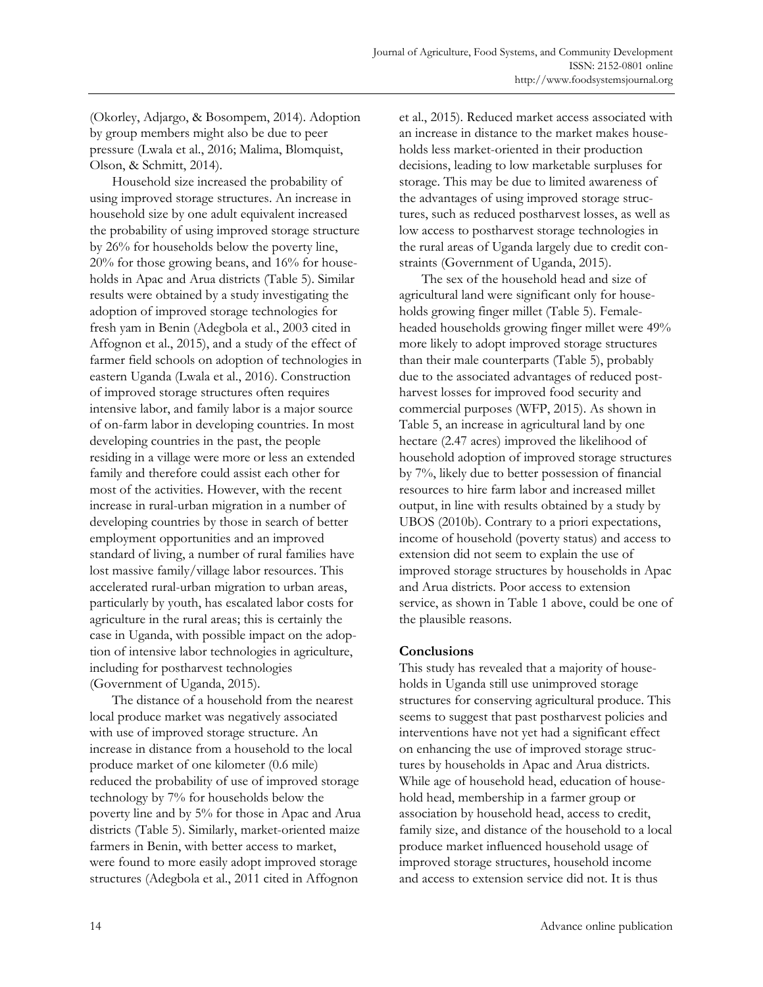(Okorley, Adjargo, & Bosompem, 2014). Adoption by group members might also be due to peer pressure (Lwala et al., 2016; Malima, Blomquist, Olson, & Schmitt, 2014).

 Household size increased the probability of using improved storage structures. An increase in household size by one adult equivalent increased the probability of using improved storage structure by 26% for households below the poverty line, 20% for those growing beans, and 16% for households in Apac and Arua districts (Table 5). Similar results were obtained by a study investigating the adoption of improved storage technologies for fresh yam in Benin (Adegbola et al., 2003 cited in Affognon et al., 2015), and a study of the effect of farmer field schools on adoption of technologies in eastern Uganda (Lwala et al., 2016). Construction of improved storage structures often requires intensive labor, and family labor is a major source of on-farm labor in developing countries. In most developing countries in the past, the people residing in a village were more or less an extended family and therefore could assist each other for most of the activities. However, with the recent increase in rural-urban migration in a number of developing countries by those in search of better employment opportunities and an improved standard of living, a number of rural families have lost massive family/village labor resources. This accelerated rural-urban migration to urban areas, particularly by youth, has escalated labor costs for agriculture in the rural areas; this is certainly the case in Uganda, with possible impact on the adoption of intensive labor technologies in agriculture, including for postharvest technologies (Government of Uganda, 2015).

 The distance of a household from the nearest local produce market was negatively associated with use of improved storage structure. An increase in distance from a household to the local produce market of one kilometer (0.6 mile) reduced the probability of use of improved storage technology by 7% for households below the poverty line and by 5% for those in Apac and Arua districts (Table 5). Similarly, market-oriented maize farmers in Benin, with better access to market, were found to more easily adopt improved storage structures (Adegbola et al., 2011 cited in Affognon

et al., 2015). Reduced market access associated with an increase in distance to the market makes households less market-oriented in their production decisions, leading to low marketable surpluses for storage. This may be due to limited awareness of the advantages of using improved storage structures, such as reduced postharvest losses, as well as low access to postharvest storage technologies in the rural areas of Uganda largely due to credit constraints (Government of Uganda, 2015).

 The sex of the household head and size of agricultural land were significant only for households growing finger millet (Table 5). Femaleheaded households growing finger millet were 49% more likely to adopt improved storage structures than their male counterparts (Table 5), probably due to the associated advantages of reduced postharvest losses for improved food security and commercial purposes (WFP, 2015). As shown in Table 5, an increase in agricultural land by one hectare (2.47 acres) improved the likelihood of household adoption of improved storage structures by 7%, likely due to better possession of financial resources to hire farm labor and increased millet output, in line with results obtained by a study by UBOS (2010b). Contrary to a priori expectations, income of household (poverty status) and access to extension did not seem to explain the use of improved storage structures by households in Apac and Arua districts. Poor access to extension service, as shown in Table 1 above, could be one of the plausible reasons.

## **Conclusions**

This study has revealed that a majority of households in Uganda still use unimproved storage structures for conserving agricultural produce. This seems to suggest that past postharvest policies and interventions have not yet had a significant effect on enhancing the use of improved storage structures by households in Apac and Arua districts. While age of household head, education of household head, membership in a farmer group or association by household head, access to credit, family size, and distance of the household to a local produce market influenced household usage of improved storage structures, household income and access to extension service did not. It is thus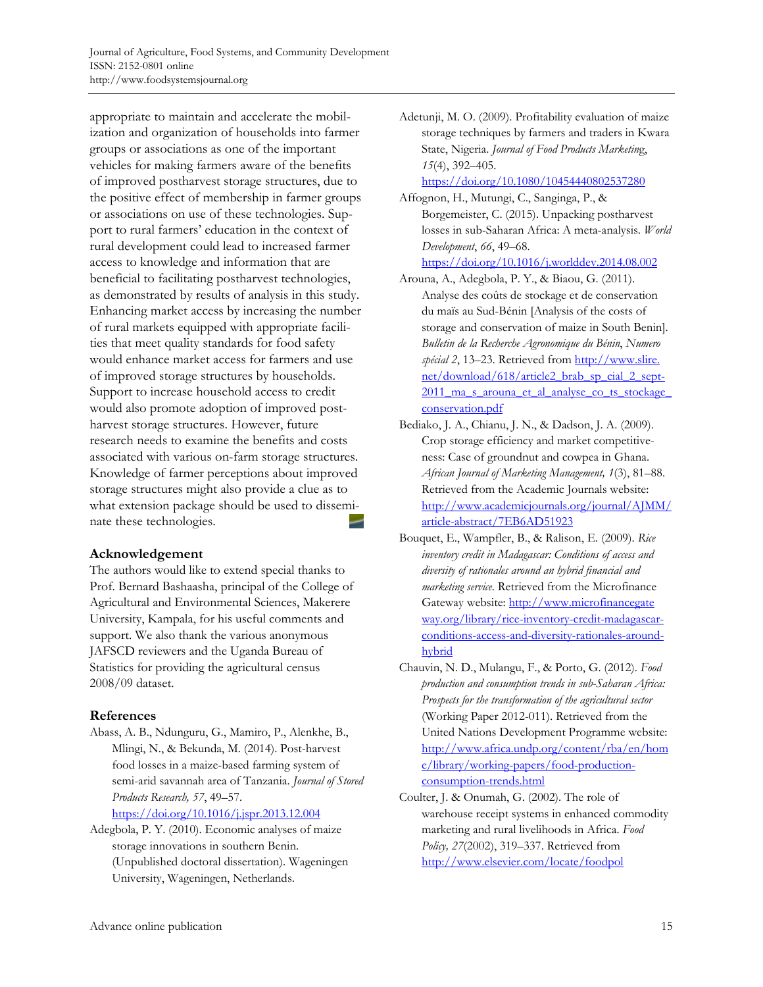appropriate to maintain and accelerate the mobilization and organization of households into farmer groups or associations as one of the important vehicles for making farmers aware of the benefits of improved postharvest storage structures, due to the positive effect of membership in farmer groups or associations on use of these technologies. Support to rural farmers' education in the context of rural development could lead to increased farmer access to knowledge and information that are beneficial to facilitating postharvest technologies, as demonstrated by results of analysis in this study. Enhancing market access by increasing the number of rural markets equipped with appropriate facilities that meet quality standards for food safety would enhance market access for farmers and use of improved storage structures by households. Support to increase household access to credit would also promote adoption of improved postharvest storage structures. However, future research needs to examine the benefits and costs associated with various on-farm storage structures. Knowledge of farmer perceptions about improved storage structures might also provide a clue as to what extension package should be used to disseminate these technologies.

#### **Acknowledgement**

The authors would like to extend special thanks to Prof. Bernard Bashaasha, principal of the College of Agricultural and Environmental Sciences, Makerere University, Kampala, for his useful comments and support. We also thank the various anonymous JAFSCD reviewers and the Uganda Bureau of Statistics for providing the agricultural census 2008/09 dataset.

## **References**

Abass, A. B., Ndunguru, G., Mamiro, P., Alenkhe, B., Mlingi, N., & Bekunda, M. (2014). Post-harvest food losses in a maize-based farming system of semi-arid savannah area of Tanzania. *Journal of Stored Products Research, 57*, 49–57.

https://doi.org/10.1016/j.jspr.2013.12.004

Adegbola, P. Y. (2010). Economic analyses of maize storage innovations in southern Benin. (Unpublished doctoral dissertation). Wageningen University, Wageningen, Netherlands.

Adetunji, M. O. (2009). Profitability evaluation of maize storage techniques by farmers and traders in Kwara State, Nigeria. *Journal of Food Products Marketin*g, *15*(4), 392–405.

#### https://doi.org/10.1080/10454440802537280

Affognon, H., Mutungi, C., Sanginga, P., & Borgemeister, C. (2015). Unpacking postharvest losses in sub-Saharan Africa: A meta-analysis. *World Development*, *66*, 49–68.

https://doi.org/10.1016/j.worlddev.2014.08.002

- Arouna, A., Adegbola, P. Y., & Biaou, G. (2011). Analyse des coûts de stockage et de conservation du maïs au Sud-Bénin [Analysis of the costs of storage and conservation of maize in South Benin]. *Bulletin de la Recherche Agronomique du Bénin*, *Numero spécial 2*, 13–23. Retrieved from http://www.slire. net/download/618/article2\_brab\_sp\_cial\_2\_sept-2011 ma\_s\_arouna\_et\_al\_analyse\_co\_ts\_stockage conservation.pdf
- Bediako, J. A., Chianu, J. N., & Dadson, J. A. (2009). Crop storage efficiency and market competitiveness: Case of groundnut and cowpea in Ghana. *African Journal of Marketing Management, 1*(3), 81–88. Retrieved from the Academic Journals website: [http://www.academicjournals.org/journal/AJMM/](http://www.academicjournals.org/journal/AJMM/article-abstract/7EB6AD51923) article-abstract/7EB6AD51923
- Bouquet, E., Wampfler, B., & Ralison, E. (2009). *Rice inventory credit in Madagascar: Conditions of access and diversity of rationales around an hybrid financial and marketing service.* Retrieved from the Microfinance Gateway website: http://www.microfinancegate way.org/library/rice-inventory-credit-madagascar[conditions-access-and-diversity-rationales-around](http://www.microfinancegateway.org/library/rice-inventory-credit-madagascar-conditions-access-and-diversity-rationales-around-hybrid)hybrid
- Chauvin, N. D., Mulangu, F., & Porto, G. (2012). *Food production and consumption trends in sub-Saharan Africa: Prospects for the transformation of the agricultural sector* (Working Paper 2012-011). Retrieved from the United Nations Development Programme website: [http://www.africa.undp.org/content/rba/en/hom](http://www.africa.undp.org/content/rba/en/home/library/working-papers/food-production-consumption-trends.html) e/library/working-papers/food-productionconsumption-trends.html
- Coulter, J. & Onumah, G. (2002). The role of warehouse receipt systems in enhanced commodity marketing and rural livelihoods in Africa. *Food Policy, 27*(2002), 319–337. Retrieved from http://www.elsevier.com/locate/foodpol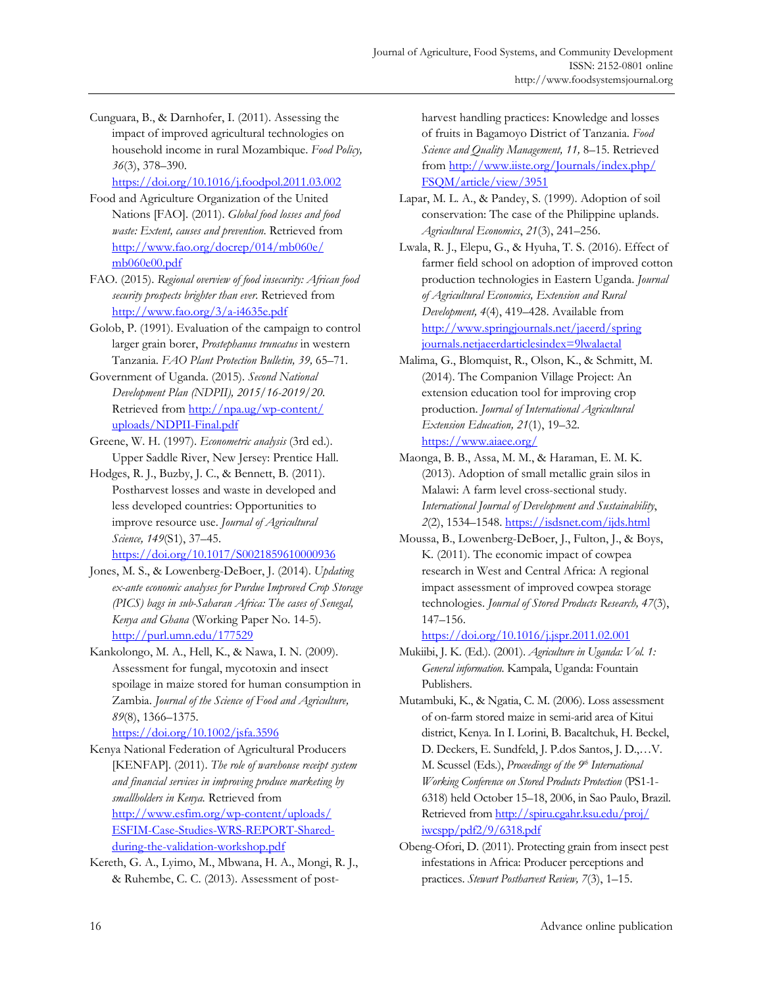Cunguara, B., & Darnhofer, I. (2011). Assessing the impact of improved agricultural technologies on household income in rural Mozambique. *Food Policy, 36*(3), 378–390.

https://doi.org/10.1016/j.foodpol.2011.03.002

- Food and Agriculture Organization of the United Nations [FAO]. (2011). *Global food losses and food waste: Extent, causes and prevention*. Retrieved from [http://www.fao.org/docrep/014/mb060e/](http://www.fao.org/docrep/014/mb060e/mb060e00.pdf) mb060e00.pdf
- FAO. (2015). *Regional overview of food insecurity: African food security prospects brighter than ever.* Retrieved from http://www.fao.org/3/a-i4635e.pdf
- Golob, P. (1991). Evaluation of the campaign to control larger grain borer, *Prostephanus truncatus* in western Tanzania. *FAO Plant Protection Bulletin, 39,* 65–71.
- Government of Uganda. (2015). *Second National Development Plan (NDPII), 2015/16-2019/20.* [Retrieved from http://npa.ug/wp-content/](http://npa.ug/wp-content/uploads/NDPII-Final.pdf)  uploads/NDPII-Final.pdf
- Greene, W. H. (1997). *Econometric analysis* (3rd ed.). Upper Saddle River, New Jersey: Prentice Hall.
- Hodges, R. J., Buzby, J. C., & Bennett, B. (2011). Postharvest losses and waste in developed and less developed countries: Opportunities to improve resource use. *Journal of Agricultural Science, 149*(S1), 37–45.

https://doi.org/10.1017/S0021859610000936

- Jones, M. S., & Lowenberg-DeBoer, J. (2014). *Updating ex-ante economic analyses for Purdue Improved Crop Storage (PICS) bags in sub-Saharan Africa: The cases of Senegal, Kenya and Ghana* (Working Paper No. 14-5). http://purl.umn.edu/177529
- Kankolongo, M. A., Hell, K., & Nawa, I. N. (2009). Assessment for fungal, mycotoxin and insect spoilage in maize stored for human consumption in Zambia. *Journal of the Science of Food and Agriculture, 89*(8), 1366–1375.

https://doi.org/10.1002/jsfa.3596

- Kenya National Federation of Agricultural Producers [KENFAP]. (2011). *The role of warehouse receipt system and financial services in improving produce marketing by smallholders in Kenya.* Retrieved from http://www.esfim.org/wp-content/uploads/ [ESFIM-Case-Studies-WRS-REPORT-Shared](http://www.esfim.org/wp-content/uploads/ESFIM-Case-Studies-WRS-REPORT-Shared-during-the-validation-workshop.pdf)during-the-validation-workshop.pdf
- Kereth, G. A., Lyimo, M., Mbwana, H. A., Mongi, R. J., & Ruhembe, C. C. (2013). Assessment of post-

harvest handling practices: Knowledge and losses of fruits in Bagamoyo District of Tanzania. *Food Science and Quality Management, 11,* 8–15. Retrieved [from http://www.iiste.org/Journals/index.php/](http://www.iiste.org/Journals/index.php/FSQM/article/view/3951)  FSQM/article/view/3951

- Lapar, M. L. A., & Pandey, S. (1999). Adoption of soil conservation: The case of the Philippine uplands. *Agricultural Economics*, *21*(3), 241–256.
- Lwala, R. J., Elepu, G., & Hyuha, T. S. (2016). Effect of farmer field school on adoption of improved cotton production technologies in Eastern Uganda. *Journal of Agricultural Economics, Extension and Rural Development, 4*(4), 419–428. Available from [http://www.springjournals.net/jaeerd/spring](http://www.springjournals.net/jaeerd/springjournals.netjaeerdarticlesindex=9lwalaetal)  journals.netjaeerdarticlesindex=9lwalaetal
- Malima, G., Blomquist, R., Olson, K., & Schmitt, M. (2014). The Companion Village Project: An extension education tool for improving crop production. *Journal of International Agricultural Extension Education, 21*(1), 19–32. https://www.aiaee.org/
- Maonga, B. B., Assa, M. M., & Haraman, E. M. K. (2013). Adoption of small metallic grain silos in Malawi: A farm level cross-sectional study. *International Journal of Development and Sustainability*, *2*(2), 1534–1548. https://isdsnet.com/ijds.html
- Moussa, B., Lowenberg-DeBoer, J., Fulton, J., & Boys, K. (2011). The economic impact of cowpea research in West and Central Africa: A regional impact assessment of improved cowpea storage technologies. *Journal of Stored Products Research, 47*(3), 147–156.

https://doi.org/10.1016/j.jspr.2011.02.001

- Mukiibi, J. K. (Ed.). (2001). *Agriculture in Uganda: Vol. 1: General information.* Kampala, Uganda: Fountain Publishers.
- Mutambuki, K., & Ngatia, C. M. (2006). Loss assessment of on-farm stored maize in semi-arid area of Kitui district, Kenya. In I. Lorini, B. Bacaltchuk, H. Beckel, D. Deckers, E. Sundfeld, J. P.dos Santos, J. D.,…V. M. Scussel (Eds*.*), *Proceedings of the 9th International Working Conference on Stored Products Protection* (PS1*-*1- 6318) held October 15–18, 2006, in Sao Paulo, Brazil. [Retrieved from http://spiru.cgahr.ksu.edu/proj/](http://spiru.cgahr.ksu.edu/proj/iwcspp/pdf2/9/6318.pdf) iwcspp/pdf2/9/6318.pdf
- Obeng-Ofori, D. (2011). Protecting grain from insect pest infestations in Africa: Producer perceptions and practices. *Stewart Postharvest Review, 7*(3), 1–15.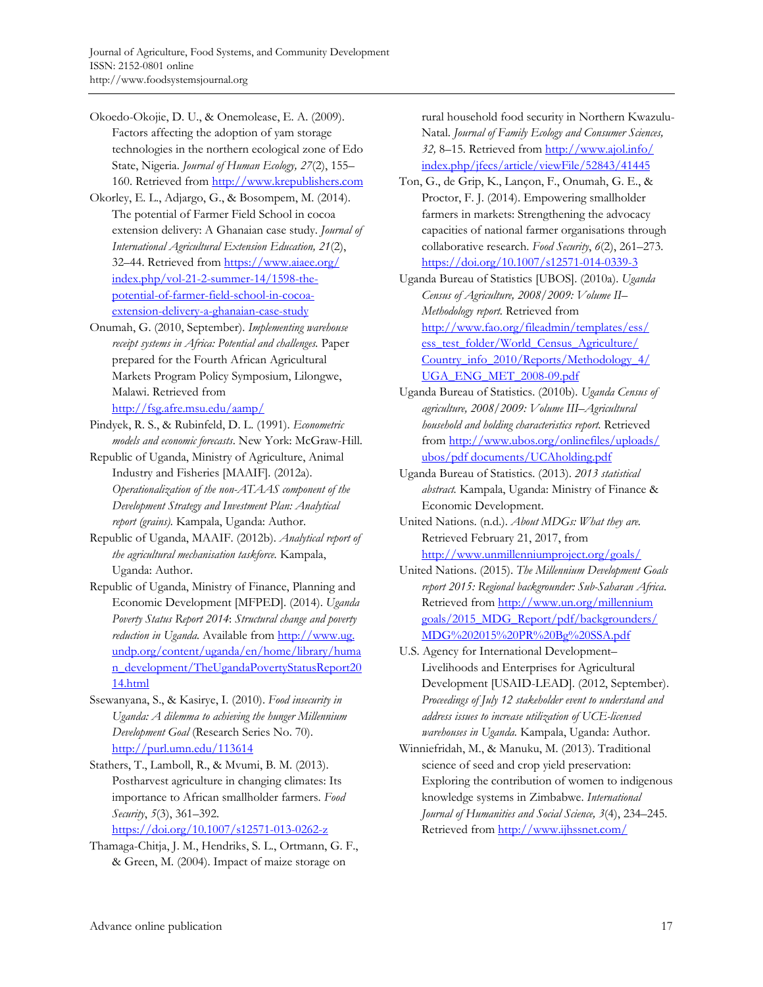- Okoedo-Okojie, D. U., & Onemolease, E. A. (2009). Factors affecting the adoption of yam storage technologies in the northern ecological zone of Edo State, Nigeria. *Journal of Human Ecology, 27*(2), 155– 160. Retrieved from http://www.krepublishers.com
- Okorley, E. L., Adjargo, G., & Bosompem, M. (2014). The potential of Farmer Field School in cocoa extension delivery: A Ghanaian case study. *Journal of International Agricultural Extension Education, 21*(2), [32–44. Retrieved from https://www.aiaee.org/](https://www.aiaee.org/index.php/vol-21-2-summer-14/1598-the-potential-of-farmer-field-school-in-cocoa-extension-delivery-a-ghanaian-case-study)  index.php/vol-21-2-summer-14/1598-thepotential-of-farmer-field-school-in-cocoaextension-delivery-a-ghanaian-case-study
- Onumah, G. (2010, September). *Implementing warehouse receipt systems in Africa: Potential and challenges.* Paper prepared for the Fourth African Agricultural Markets Program Policy Symposium, Lilongwe, Malawi. Retrieved from http://fsg.afre.msu.edu/aamp/
- Pindyek, R. S., & Rubinfeld, D. L. (1991). *Econometric models and economic forecasts*. New York: McGraw-Hill.
- Republic of Uganda, Ministry of Agriculture, Animal Industry and Fisheries [MAAIF]. (2012a). *Operationalization of the non-ATAAS component of the Development Strategy and Investment Plan: Analytical report (grains).* Kampala, Uganda: Author.
- Republic of Uganda, MAAIF. (2012b). *Analytical report of the agricultural mechanisation taskforce.* Kampala, Uganda: Author.
- Republic of Uganda, Ministry of Finance, Planning and Economic Development [MFPED]. (2014). *Uganda Poverty Status Report 2014*: *Structural change and poverty reduction in Uganda.* Available from http://www.ug. undp.org/content/uganda/en/home/library/huma [n\\_development/TheUgandaPovertyStatusReport20](http://www.ug.undp.org/content/uganda/en/home/library/human_development/TheUgandaPovertyStatusReport2014.html) 14.html
- Ssewanyana, S., & Kasirye, I. (2010). *Food insecurity in Uganda: A dilemma to achieving the hunger Millennium Development Goal* (Research Series No. 70). http://purl.umn.edu/113614
- Stathers, T., Lamboll, R., & Mvumi, B. M. (2013). Postharvest agriculture in changing climates: Its importance to African smallholder farmers. *Food Security*, *5*(3), 361–392.

https://doi.org/10.1007/s12571-013-0262-z

Thamaga-Chitja, J. M., Hendriks, S. L., Ortmann, G. F., & Green, M. (2004). Impact of maize storage on

rural household food security in Northern Kwazulu-Natal. *Journal of Family Ecology and Consumer Sciences, 32,* 8–15. Retrieved from http://www.ajol.info/ [index.php/jfecs/article/viewFile/52843/41445](http://www.ajol.info/index.php/jfecs/article/viewFile/52843/41445)

- Ton, G., de Grip, K., Lançon, F., Onumah, G. E., & Proctor, F. J. (2014). Empowering smallholder farmers in markets: Strengthening the advocacy capacities of national farmer organisations through collaborative research. *Food Security*, *6*(2), 261–273. https://doi.org/10.1007/s12571-014-0339-3
- Uganda Bureau of Statistics [UBOS]. (2010a). *Uganda Census of Agriculture, 2008/2009: Volume II– Methodology report.* Retrieved from [http://www.fao.org/fileadmin/templates/ess/](http://www.fao.org/fileadmin/templates/ess/ess_test_folder/World_Census_Agriculture/Country_info_2010/Reports/Methodology_4/UGA_ENG_MET_2008-09.pdf)  ess\_test\_folder/World\_Census\_Agriculture/ Country\_info\_2010/Reports/Methodology\_4/ UGA\_ENG\_MET\_2008-09.pdf
- Uganda Bureau of Statistics. (2010b). *Uganda Census of agriculture, 2008/2009: Volume III–Agricultural household and holding characteristics report.* Retrieved [from http://www.ubos.org/onlinefiles/uploads/](http://www.ubos.org/onlinefiles/uploads/ubos/pdfdocuments/UCAholding.pdf)  ubos/pdf documents/UCAholding.pdf
- Uganda Bureau of Statistics. (2013). *2013 statistical abstract.* Kampala, Uganda: Ministry of Finance & Economic Development.
- United Nations. (n.d.). *About MDGs: What they are.* Retrieved February 21, 2017, from http://www.unmillenniumproject.org/goals/
- United Nations. (2015). *The Millennium Development Goals report 2015: Regional backgrounder: Sub-Saharan Africa*. Retrieved from http://www.un.org/millennium [goals/2015\\_MDG\\_Report/pdf/backgrounders/](http://www.un.org/millenniumgoals/2015_MDG_Report/pdf/backgrounders/MDG%202015%20PR%20Bg%20SSA.pdf)  MDG%202015%20PR%20Bg%20SSA.pdf
- U.S. Agency for International Development– Livelihoods and Enterprises for Agricultural Development [USAID-LEAD]. (2012, September). *Proceedings of July 12 stakeholder event to understand and address issues to increase utilization of UCE-licensed warehouses in Uganda.* Kampala, Uganda: Author.
- Winniefridah, M., & Manuku, M. (2013). Traditional science of seed and crop yield preservation: Exploring the contribution of women to indigenous knowledge systems in Zimbabwe. *International Journal of Humanities and Social Science, 3*(4), 234–245. Retrieved from http://www.ijhssnet.com/